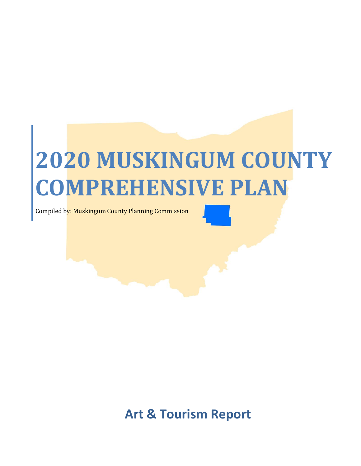# **2020 MUSKINGUM COUNTY COMPREHENSIVE PLAN**

Compiled by: Muskingum County Planning Commission

**Art & Tourism Report**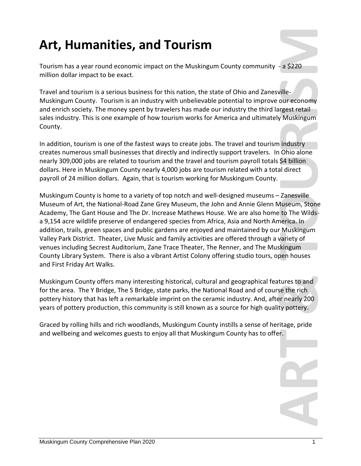# **Art, Humanities, and Tourism**

Tourism has a year round economic impact on the Muskingum County community - a \$220 million dollar impact to be exact.

Travel and tourism is a serious business for this nation, the state of Ohio and Zanesville-Muskingum County. Tourism is an industry with unbelievable potential to improve our economy and enrich society. The money spent by travelers has made our industry the third largest retail sales industry. This is one example of how tourism works for America and ultimately Muskingum County.

In addition, tourism is one of the fastest ways to create jobs. The travel and tourism industry creates numerous small businesses that directly and indirectly support travelers. In Ohio alone nearly 309,000 jobs are related to tourism and the travel and tourism payroll totals \$4 billion dollars. Here in Muskingum County nearly 4,000 jobs are tourism related with a total direct payroll of 24 million dollars. Again, that is tourism working for Muskingum County.

**Art, Humanities, and Tourism**<br>Tourism has a year round cronomic impact on the Muskingum County community a \$220<br>million dollar impact to be coef.<br>Travel and county may are accurated as for this nation, the state of otho a Muskingum County is home to a variety of top notch and well-designed museums – Zanesville Museum of Art, the National-Road Zane Grey Museum, the John and Annie Glenn Museum, Stone Academy, The Gant House and The Dr. Increase Mathews House. We are also home to The Wildsa 9,154 acre wildlife preserve of endangered species from Africa, Asia and North America. In addition, trails, green spaces and public gardens are enjoyed and maintained by our Muskingum Valley Park District. Theater, Live Music and family activities are offered through a variety of venues including Secrest Auditorium, Zane Trace Theater, The Renner, and The Muskingum County Library System. There is also a vibrant Artist Colony offering studio tours, open houses and First Friday Art Walks.

Muskingum County offers many interesting historical, cultural and geographical features to and for the area. The Y Bridge, The S Bridge, state parks, the National Road and of course the rich pottery history that has left a remarkable imprint on the ceramic industry. And, after nearly 200 years of pottery production, this community is still known as a source for high quality pottery.

Graced by rolling hills and rich woodlands, Muskingum County instills a sense of heritage, pride and wellbeing and welcomes guests to enjoy all that Muskingum County has to offer.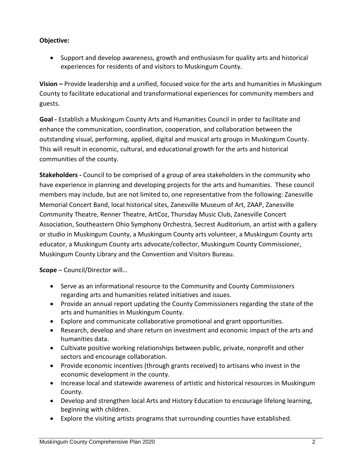## **Objective:**

 Support and develop awareness, growth and enthusiasm for quality arts and historical experiences for residents of and visitors to Muskingum County.

**Vision –** Provide leadership and a unified, focused voice for the arts and humanities in Muskingum County to facilitate educational and transformational experiences for community members and guests.

**Goal -** Establish a Muskingum County Arts and Humanities Council in order to facilitate and enhance the communication, coordination, cooperation, and collaboration between the outstanding visual, performing, applied, digital and musical arts groups in Muskingum County. This will result in economic, cultural, and educational growth for the arts and historical communities of the county.

**Stakeholders -** Council to be comprised of a group of area stakeholders in the community who have experience in planning and developing projects for the arts and humanities. These council members may include, but are not limited to, one representative from the following: Zanesville Memorial Concert Band, local historical sites, Zanesville Museum of Art, ZAAP, Zanesville Community Theatre, Renner Theatre, ArtCoz, Thursday Music Club, Zanesville Concert Association, Southeastern Ohio Symphony Orchestra, Secrest Auditorium, an artist with a gallery or studio in Muskingum County, a Muskingum County arts volunteer, a Muskingum County arts educator, a Muskingum County arts advocate/collector, Muskingum County Commissioner, Muskingum County Library and the Convention and Visitors Bureau.

**Scope** – Council/Director will…

- Serve as an informational resource to the Community and County Commissioners regarding arts and humanities related initiatives and issues.
- Provide an annual report updating the County Commissioners regarding the state of the arts and humanities in Muskingum County.
- Explore and communicate collaborative promotional and grant opportunities.
- Research, develop and share return on investment and economic impact of the arts and humanities data.
- Cultivate positive working relationships between public, private, nonprofit and other sectors and encourage collaboration.
- Provide economic incentives (through grants received) to artisans who invest in the economic development in the county.
- Increase local and statewide awareness of artistic and historical resources in Muskingum County.
- Develop and strengthen local Arts and History Education to encourage lifelong learning, beginning with children.
- Explore the visiting artists programs that surrounding counties have established.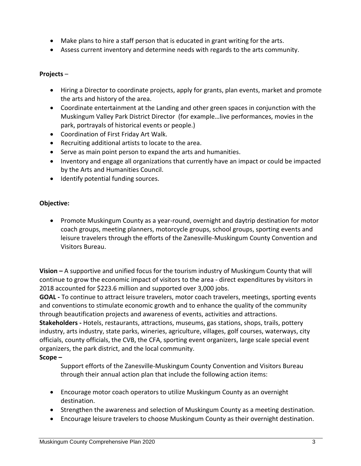- Make plans to hire a staff person that is educated in grant writing for the arts.
- Assess current inventory and determine needs with regards to the arts community.

#### **Projects** –

- Hiring a Director to coordinate projects, apply for grants, plan events, market and promote the arts and history of the area.
- Coordinate entertainment at the Landing and other green spaces in conjunction with the Muskingum Valley Park District Director (for example…live performances, movies in the park, portrayals of historical events or people.)
- Coordination of First Friday Art Walk.
- Recruiting additional artists to locate to the area.
- Serve as main point person to expand the arts and humanities.
- Inventory and engage all organizations that currently have an impact or could be impacted by the Arts and Humanities Council.
- Identify potential funding sources.

#### **Objective:**

 Promote Muskingum County as a year-round, overnight and daytrip destination for motor coach groups, meeting planners, motorcycle groups, school groups, sporting events and leisure travelers through the efforts of the Zanesville-Muskingum County Convention and Visitors Bureau.

**Vision –** A supportive and unified focus for the tourism industry of Muskingum County that will continue to grow the economic impact of visitors to the area - direct expenditures by visitors in 2018 accounted for \$223.6 million and supported over 3,000 jobs.

**GOAL -** To continue to attract leisure travelers, motor coach travelers, meetings, sporting events and conventions to stimulate economic growth and to enhance the quality of the community through beautification projects and awareness of events, activities and attractions.

**Stakeholders -** Hotels, restaurants, attractions, museums, gas stations, shops, trails, pottery industry, arts industry, state parks, wineries, agriculture, villages, golf courses, waterways, city officials, county officials, the CVB, the CFA, sporting event organizers, large scale special event organizers, the park district, and the local community.

#### **Scope –**

Support efforts of the Zanesville-Muskingum County Convention and Visitors Bureau through their annual action plan that include the following action items:

- Encourage motor coach operators to utilize Muskingum County as an overnight destination.
- Strengthen the awareness and selection of Muskingum County as a meeting destination.
- Encourage leisure travelers to choose Muskingum County as their overnight destination.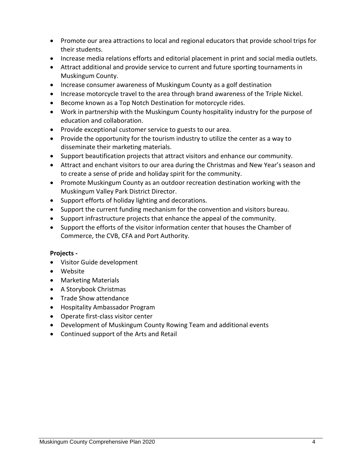- Promote our area attractions to local and regional educators that provide school trips for their students.
- Increase media relations efforts and editorial placement in print and social media outlets.
- Attract additional and provide service to current and future sporting tournaments in Muskingum County.
- Increase consumer awareness of Muskingum County as a golf destination
- Increase motorcycle travel to the area through brand awareness of the Triple Nickel.
- **•** Become known as a Top Notch Destination for motorcycle rides.
- Work in partnership with the Muskingum County hospitality industry for the purpose of education and collaboration.
- Provide exceptional customer service to guests to our area.
- Provide the opportunity for the tourism industry to utilize the center as a way to disseminate their marketing materials.
- Support beautification projects that attract visitors and enhance our community.
- Attract and enchant visitors to our area during the Christmas and New Year's season and to create a sense of pride and holiday spirit for the community.
- Promote Muskingum County as an outdoor recreation destination working with the Muskingum Valley Park District Director.
- Support efforts of holiday lighting and decorations.
- Support the current funding mechanism for the convention and visitors bureau.
- Support infrastructure projects that enhance the appeal of the community.
- Support the efforts of the visitor information center that houses the Chamber of Commerce, the CVB, CFA and Port Authority.

#### **Projects -**

- Visitor Guide development
- Website
- Marketing Materials
- A Storybook Christmas
- Trade Show attendance
- Hospitality Ambassador Program
- Operate first-class visitor center
- Development of Muskingum County Rowing Team and additional events
- Continued support of the Arts and Retail